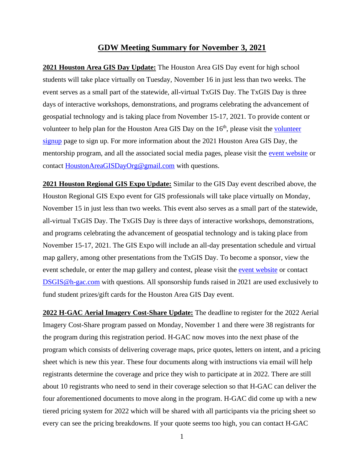## **GDW Meeting Summary for November 3, 2021**

**2021 Houston Area GIS Day Update:** The Houston Area GIS Day event for high school students will take place virtually on Tuesday, November 16 in just less than two weeks. The event serves as a small part of the statewide, all-virtual TxGIS Day. The TxGIS Day is three days of interactive workshops, demonstrations, and programs celebrating the advancement of geospatial technology and is taking place from November 15-17, 2021. To provide content or volunteer to help plan for the Houston Area GIS Day on the  $16<sup>th</sup>$ , please visit the volunteer [signup](https://docs.google.com/forms/d/e/1FAIpQLSeHJc7teYRniv7uT7sZLsrqTYrIDMu5C48I5UjgRcsIQmm-7A/viewform) page to sign up. For more information about the 2021 Houston Area GIS Day, the mentorship program, and all the associated social media pages, please visit the [event website](http://www.houstonareagisday.org/index.html) or contact [HoustonAreaGISDayOrg@gmail.com](mailto:HoustonAreaGISDayOrg@gmail.com) with questions.

**2021 Houston Regional GIS Expo Update:** Similar to the GIS Day event described above, the Houston Regional GIS Expo event for GIS professionals will take place virtually on Monday, November 15 in just less than two weeks. This event also serves as a small part of the statewide, all-virtual TxGIS Day. The TxGIS Day is three days of interactive workshops, demonstrations, and programs celebrating the advancement of geospatial technology and is taking place from November 15-17, 2021. The GIS Expo will include an all-day presentation schedule and virtual map gallery, among other presentations from the TxGIS Day. To become a sponsor, view the event schedule, or enter the map gallery and contest, please visit the [event website](https://www.h-gac.com/geographic-data-workgroup/gis-expo/sponsorship/registration) or contact [DSGIS@h-gac.com](mailto:DSGIS@h-gac.com) with questions. All sponsorship funds raised in 2021 are used exclusively to fund student prizes/gift cards for the Houston Area GIS Day event.

**2022 H-GAC Aerial Imagery Cost-Share Update:** The deadline to register for the 2022 Aerial Imagery Cost-Share program passed on Monday, November 1 and there were 38 registrants for the program during this registration period. H-GAC now moves into the next phase of the program which consists of delivering coverage maps, price quotes, letters on intent, and a pricing sheet which is new this year. These four documents along with instructions via email will help registrants determine the coverage and price they wish to participate at in 2022. There are still about 10 registrants who need to send in their coverage selection so that H-GAC can deliver the four aforementioned documents to move along in the program. H-GAC did come up with a new tiered pricing system for 2022 which will be shared with all participants via the pricing sheet so every can see the pricing breakdowns. If your quote seems too high, you can contact H-GAC

1